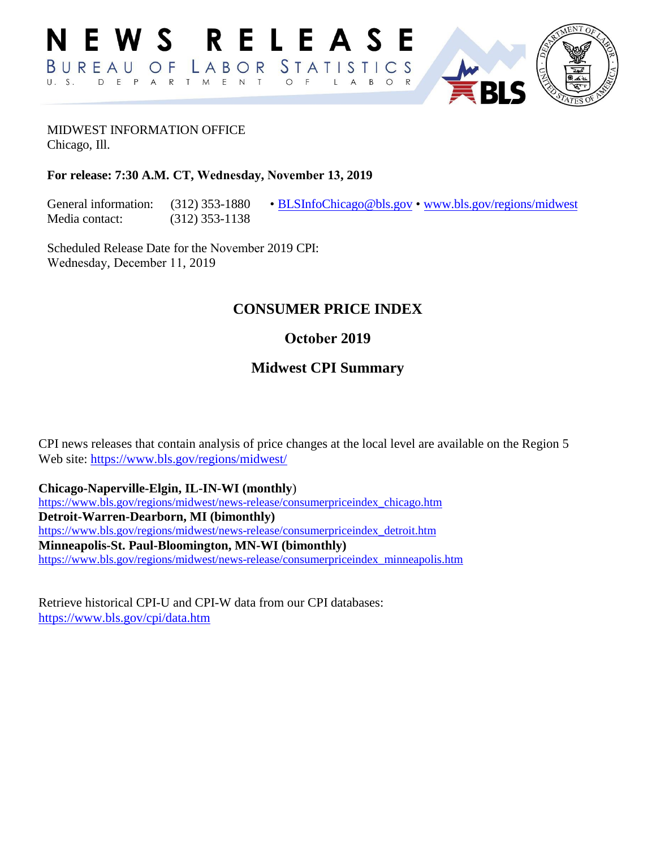

# MIDWEST INFORMATION OFFICE

Chicago, Ill.

#### **For release: 7:30 A.M. CT, Wednesday, November 13, 2019**

Media contact: (312) 353-1138

General information: (312) 353-1880 • [BLSInfoChicago@bls.gov](mailto:BLSInfoChicago@bls.gov) • [www.bls.gov/regions/midwest](https://www.bls.gov/regions/midwest)

Scheduled Release Date for the November 2019 CPI: Wednesday, December 11, 2019

### **CONSUMER PRICE INDEX**

# **October 2019**

# **Midwest CPI Summary**

CPI news releases that contain analysis of price changes at the local level are available on the Region 5 Web site: <https://www.bls.gov/regions/midwest/>

**Chicago-Naperville-Elgin, IL-IN-WI (monthly**)

[https://www.bls.gov/regions/midwest/news-release/consumerpriceindex\\_chicago.htm](https://www.bls.gov/regions/midwest/news-release/consumerpriceindex_chicago.htm)  **Detroit-Warren-Dearborn, MI (bimonthly)** [https://www.bls.gov/regions/midwest/news-release/consumerpriceindex\\_detroit.htm](https://www.bls.gov/regions/midwest/news-release/consumerpriceindex_detroit.htm)  **Minneapolis-St. Paul-Bloomington, MN-WI (bimonthly)** [https://www.bls.gov/regions/midwest/news-release/consumerpriceindex\\_minneapolis.htm](https://www.bls.gov/regions/midwest/news-release/consumerpriceindex_minneapolis.htm)

Retrieve historical CPI-U and CPI-W data from our CPI databases: <https://www.bls.gov/cpi/data.htm>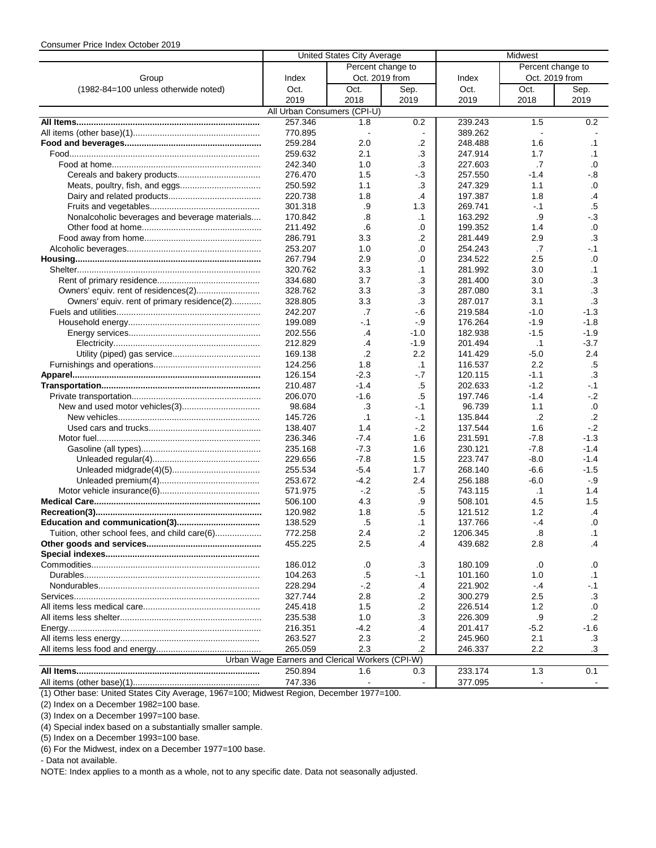|                                               | United States City Average                      |                   |                          | Midwest  |                   |           |  |  |
|-----------------------------------------------|-------------------------------------------------|-------------------|--------------------------|----------|-------------------|-----------|--|--|
|                                               |                                                 | Percent change to |                          |          | Percent change to |           |  |  |
| Group                                         | Index                                           | Oct. 2019 from    |                          | Index    | Oct. 2019 from    |           |  |  |
| (1982-84=100 unless otherwide noted)          | Oct.                                            | Oct.              | Sep.                     | Oct.     | Oct.              | Sep.      |  |  |
|                                               | 2019                                            | 2018              | 2019                     | 2019     | 2018              | 2019      |  |  |
|                                               | All Urban Consumers (CPI-U)                     |                   |                          |          |                   |           |  |  |
|                                               | 257.346                                         | 1.8               | 0.2                      | 239.243  | 1.5               | 0.2       |  |  |
|                                               | 770.895                                         | $\sim$            | $\overline{\phantom{a}}$ | 389.262  |                   |           |  |  |
|                                               | 259.284                                         | 2.0               | .2                       | 248.488  | 1.6               | $\cdot$ 1 |  |  |
|                                               | 259.632                                         | 2.1               | .3                       | 247.914  | 1.7               | .1        |  |  |
|                                               | 242.340                                         | 1.0               | .3                       | 227.603  | .7                | .0        |  |  |
|                                               |                                                 |                   |                          | 257.550  | $-1.4$            |           |  |  |
|                                               | 276.470                                         | 1.5               | -.3                      |          |                   | -.8       |  |  |
|                                               | 250.592                                         | 1.1               | .3                       | 247.329  | 1.1               | .0        |  |  |
|                                               | 220.738                                         | 1.8               | .4                       | 197.387  | 1.8               | $\cdot$   |  |  |
|                                               | 301.318                                         | .9                | 1.3                      | 269.741  | $-1$              | .5        |  |  |
| Nonalcoholic beverages and beverage materials | 170.842                                         | .8                | $\cdot$ 1                | 163.292  | .9                | $-3$      |  |  |
|                                               | 211.492                                         | .6                | .0                       | 199.352  | 1.4               | .0        |  |  |
|                                               | 286.791                                         | 3.3               | $\cdot$ .2               | 281.449  | 2.9               | .3        |  |  |
|                                               | 253.207                                         | 1.0               | .0                       | 254.243  | .7                | $-1$      |  |  |
|                                               | 267.794                                         | 2.9               | .0                       | 234.522  | 2.5               | .0        |  |  |
|                                               | 320.762                                         | 3.3               | $\cdot$ 1                | 281.992  | 3.0               | .1        |  |  |
|                                               | 334.680                                         | 3.7               | .3                       | 281.400  | 3.0               | .3        |  |  |
|                                               | 328.762                                         | 3.3               | .3                       | 287.080  | 3.1               | .3        |  |  |
| Owners' equiv. rent of primary residence(2)   | 328.805                                         | 3.3               | .3                       | 287.017  | 3.1               | .3        |  |  |
|                                               | 242.207                                         | .7                | $-6$                     | 219.584  | $-1.0$            | $-1.3$    |  |  |
|                                               | 199.089                                         | $-.1$             | $-9$                     | 176.264  | $-1.9$            | $-1.8$    |  |  |
|                                               | 202.556                                         | $\cdot$           | $-1.0$                   | 182.938  | $-1.5$            | $-1.9$    |  |  |
|                                               | 212.829                                         | .4                | $-1.9$                   | 201.494  | .1                | $-3.7$    |  |  |
|                                               | 169.138                                         | .2                | 2.2                      | 141.429  | $-5.0$            | 2.4       |  |  |
|                                               | 124.256                                         | 1.8               | $\cdot$ 1                | 116.537  | 2.2               | .5        |  |  |
|                                               | 126.154                                         | $-2.3$            | $-7$                     | 120.115  | $-1.1$            | .3        |  |  |
|                                               | 210.487                                         | $-1.4$            | .5                       | 202.633  | $-1.2$            | $-.1$     |  |  |
|                                               |                                                 |                   |                          |          | $-1.4$            | $-.2$     |  |  |
|                                               | 206.070                                         | $-1.6$            | .5                       | 197.746  |                   |           |  |  |
|                                               | 98.684                                          | .3                | $-.1$                    | 96.739   | 1.1               | .0        |  |  |
|                                               | 145.726                                         | $\cdot$ 1         | -.1                      | 135.844  | $\cdot$           | $\cdot$   |  |  |
|                                               | 138.407                                         | 1.4               | $-2$                     | 137.544  | 1.6               | $-2$      |  |  |
|                                               | 236.346                                         | $-7.4$            | 1.6                      | 231.591  | $-7.8$            | $-1.3$    |  |  |
|                                               | 235.168                                         | $-7.3$            | 1.6                      | 230.121  | $-7.8$            | $-1.4$    |  |  |
|                                               | 229.656                                         | $-7.8$            | 1.5                      | 223.747  | $-8.0$            | $-1.4$    |  |  |
|                                               | 255.534                                         | $-5.4$            | 1.7                      | 268.140  | $-6.6$            | $-1.5$    |  |  |
|                                               | 253.672                                         | -4.2              | 2.4                      | 256.188  | $-6.0$            | -.9       |  |  |
|                                               | 571.975                                         | $-2$              | .5                       | 743.115  | $\cdot$ 1         | 1.4       |  |  |
|                                               | 506.100                                         | 4.3               | .9                       | 508.101  | 4.5               | 1.5       |  |  |
|                                               | 120.982                                         | 1.8               | $.5\,$                   | 121.512  | 1.2               | .4        |  |  |
|                                               | 138.529                                         | .5                | $\cdot$ 1                | 137.766  | $-4$              | .0        |  |  |
| Tuition, other school fees, and child care(6) | 772.258                                         | 2.4               | .2                       | 1206.345 | .8                | .1        |  |  |
|                                               | 455.225                                         | 2.5               | .4                       | 439.682  | 2.8               | .4        |  |  |
|                                               |                                                 |                   |                          |          |                   |           |  |  |
|                                               | 186.012                                         | .0                | .3                       | 180.109  | .0                | .0        |  |  |
|                                               | 104.263                                         | .5                | -.1                      | 101.160  | 1.0               | .1        |  |  |
|                                               | 228.294                                         | $-2$              | .4                       | 221.902  | $-.4$             | -.1       |  |  |
|                                               | 327.744                                         | 2.8               | $\cdot$                  | 300.279  | 2.5               | .3        |  |  |
|                                               | 245.418                                         | 1.5               | .2                       | 226.514  | 1.2               | .0        |  |  |
|                                               | 235.538                                         | 1.0               | .3                       | 226.309  | .9                | .2        |  |  |
|                                               |                                                 |                   |                          |          |                   |           |  |  |
|                                               | 216.351                                         | -4.2              | .4                       | 201.417  | $-5.2$            | -1.6      |  |  |
|                                               | 263.527                                         | 2.3               | .2                       | 245.960  | 2.1               | .3        |  |  |
|                                               | 265.059                                         | 2.3               | .2                       | 246.337  | 2.2               | .3        |  |  |
|                                               | Urban Wage Earners and Clerical Workers (CPI-W) |                   |                          |          |                   |           |  |  |
|                                               | 250.894                                         | 1.6               | 0.3                      | 233.174  | 1.3               | 0.1       |  |  |
|                                               | 747.336                                         |                   |                          | 377.095  |                   |           |  |  |

(1) Other base: United States City Average, 1967=100; Midwest Region, December 1977=100.

(2) Index on a December 1982=100 base.

(3) Index on a December 1997=100 base.

(4) Special index based on a substantially smaller sample.

(5) Index on a December 1993=100 base.

(6) For the Midwest, index on a December 1977=100 base.

- Data not available.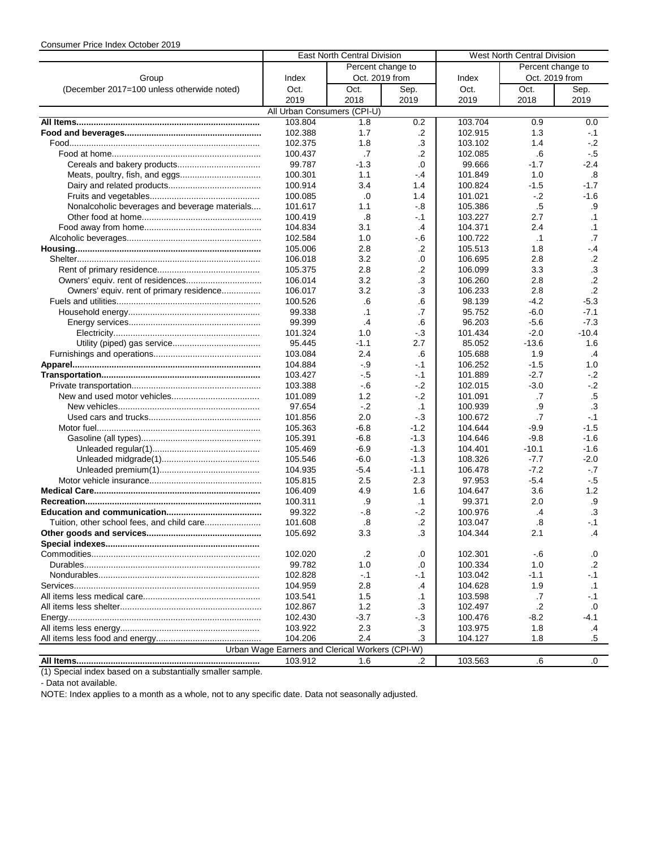|                                               | <b>East North Central Division</b>              |                |            | West North Central Division |                   |                 |  |
|-----------------------------------------------|-------------------------------------------------|----------------|------------|-----------------------------|-------------------|-----------------|--|
|                                               | Percent change to                               |                |            |                             | Percent change to |                 |  |
| Group                                         | Index                                           | Oct. 2019 from |            | Index                       | Oct. 2019 from    |                 |  |
| (December 2017=100 unless otherwide noted)    | Oct.                                            | Oct.           | Sep.       | Oct.                        | Oct.              | Sep.            |  |
|                                               | 2019                                            | 2018           | 2019       | 2019                        | 2018              | 2019            |  |
|                                               | All Urban Consumers (CPI-U)                     |                |            |                             |                   |                 |  |
|                                               | 103.804                                         | 1.8            | 0.2        | 103.704                     | 0.9               | 0.0             |  |
|                                               | 102.388                                         | 1.7            | $\cdot$    | 102.915                     | 1.3               | $-1$            |  |
|                                               | 102.375                                         | 1.8            | $\cdot$ 3  | 103.102                     | 1.4               | $-2$            |  |
|                                               |                                                 | .7             | $\cdot$ .2 | 102.085                     | .6                | - 5             |  |
|                                               | 100.437<br>99.787                               | $-1.3$         |            | 99.666                      | $-1.7$            | $-2.4$          |  |
|                                               | 100.301                                         |                | 0.         |                             |                   |                 |  |
|                                               |                                                 | 1.1            | $-.4$      | 101.849                     | 1.0               | .8              |  |
|                                               | 100.914                                         | 3.4            | 1.4        | 100.824                     | $-1.5$            | $-1.7$          |  |
|                                               | 100.085                                         | .0             | 1.4        | 101.021                     | $-2$              | $-1.6$          |  |
| Nonalcoholic beverages and beverage materials | 101.617                                         | 1.1            | -.8        | 105.386                     | $.5\,$            | .9              |  |
|                                               | 100.419                                         | .8             | -.1        | 103.227                     | 2.7               | $\cdot$ 1       |  |
|                                               | 104.834                                         | 3.1            | .4         | 104.371                     | 2.4               | $\cdot$ 1       |  |
|                                               | 102.584                                         | 1.0            | -.6        | 100.722                     | $\cdot$ 1         | .7              |  |
|                                               | 105.006                                         | 2.8            | .2         | 105.513                     | 1.8               | $-4$            |  |
|                                               | 106.018                                         | 3.2            | .0         | 106.695                     | 2.8               | $.2\phantom{0}$ |  |
|                                               | 105.375                                         | 2.8            | $\cdot$    | 106.099                     | 3.3               | .3              |  |
|                                               | 106.014                                         | 3.2            | .3         | 106.260                     | 2.8               | .2              |  |
| Owners' equiv. rent of primary residence      | 106.017                                         | 3.2            | .3         | 106.233                     | 2.8               | $\cdot$ .2      |  |
|                                               | 100.526                                         | .6             | .6         | 98.139                      | $-4.2$            | $-5.3$          |  |
|                                               | 99.338                                          | $\cdot$ 1      | .7         | 95.752                      | $-6.0$            | $-7.1$          |  |
|                                               | 99.399                                          | $\cdot$        | .6         | 96.203                      | $-5.6$            | $-7.3$          |  |
|                                               | 101.324                                         | 1.0            | $-3$       | 101.434                     | $-2.0$            | $-10.4$         |  |
|                                               | 95.445                                          | $-1.1$         | 2.7        | 85.052                      | $-13.6$           | 1.6             |  |
|                                               | 103.084                                         | 2.4            | .6         | 105.688                     | 1.9               | $\cdot$         |  |
|                                               | 104.884                                         | -.9            | $-.1$      | 106.252                     | $-1.5$            | 1.0             |  |
|                                               | 103.427                                         | -.5            | $-.1$      | 101.889                     | $-2.7$            | $-2$            |  |
|                                               | 103.388                                         | $-6$           | $-2$       | 102.015                     | $-3.0$            | $-2$            |  |
|                                               | 101.089                                         | 1.2            | $-2$       | 101.091                     | .7                | $.5\,$          |  |
|                                               | 97.654                                          | $-.2$          | $\cdot$ 1  | 100.939                     | .9                | .3              |  |
|                                               | 101.856                                         | 2.0            | $-3$       | 100.672                     | .7                | $-1$            |  |
|                                               | 105.363                                         | -6.8           | $-1.2$     | 104.644                     | $-9.9$            | $-1.5$          |  |
|                                               | 105.391                                         | $-6.8$         | $-1.3$     | 104.646                     | $-9.8$            | $-1.6$          |  |
|                                               | 105.469                                         | $-6.9$         | $-1.3$     | 104.401                     | $-10.1$           | $-1.6$          |  |
|                                               | 105.546                                         | -6.0           | $-1.3$     | 108.326                     | $-7.7$            | $-2.0$          |  |
|                                               | 104.935                                         | $-5.4$         | $-1.1$     | 106.478                     | $-7.2$            | $-.7$           |  |
|                                               | 105.815                                         | 2.5            | 2.3        | 97.953                      | $-5.4$            | - 5             |  |
|                                               | 106.409                                         | 4.9            | 1.6        | 104.647                     | 3.6               | 1.2             |  |
|                                               | 100.311                                         | .9             | $\cdot$ 1  | 99.371                      | 2.0               | .9              |  |
|                                               | 99.322                                          | -.8            | $-.2$      | 100.976                     | .4                | .3              |  |
|                                               | 101.608                                         | .8             | $\cdot$    | 103.047                     | .8                | -.1             |  |
|                                               | 105.692                                         | 3.3            | .3         | 104.344                     | 2.1               | .4              |  |
|                                               |                                                 |                |            |                             |                   |                 |  |
|                                               | 102.020                                         | .2             | .0         | 102.301                     | -.6               | .0              |  |
|                                               | 99.782                                          | 1.0            | .0         | 100.334                     | 1.0               | .2              |  |
|                                               | 102.828                                         | $-.1$          | -.1        | 103.042                     | $-1.1$            | $-1$            |  |
|                                               | 104.959                                         | 2.8            | $\cdot$    | 104.628                     | 1.9               | $\cdot$ 1       |  |
|                                               | 103.541                                         | 1.5            | $\cdot$ 1  | 103.598                     | .7                | - 1             |  |
|                                               | 102.867                                         | 1.2            | .3         | 102.497                     | $\cdot$ .2        | .0              |  |
|                                               | 102.430                                         | -3.7           | $-3$       | 100.476                     | $-8.2$            | $-4.1$          |  |
|                                               | 103.922                                         | 2.3            | .3         | 103.975                     | 1.8               | .4              |  |
|                                               | 104.206                                         | 2.4            | .3         | 104.127                     | 1.8               | .5              |  |
|                                               | Urban Wage Earners and Clerical Workers (CPI-W) |                |            |                             |                   |                 |  |
|                                               | 103.912                                         | 1.6            | .2         | 103.563                     | .6                | .0              |  |

(1) Special index based on a substantially smaller sample.

- Data not available.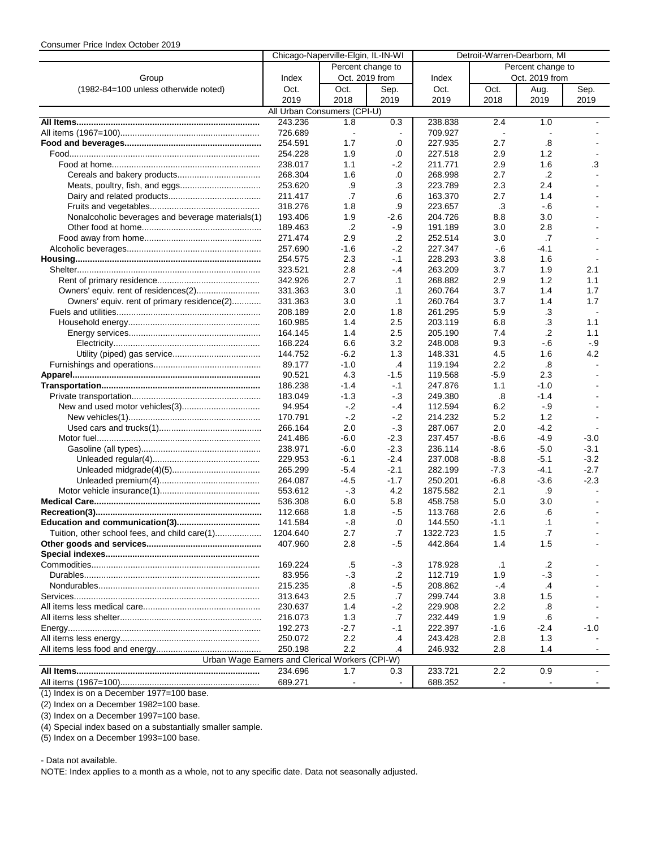|                                                  | Chicago-Naperville-Elgin, IL-IN-WI |                   | Detroit-Warren-Dearborn, MI |                   |                |                   |                          |
|--------------------------------------------------|------------------------------------|-------------------|-----------------------------|-------------------|----------------|-------------------|--------------------------|
|                                                  |                                    | Percent change to |                             | Percent change to |                |                   |                          |
| Group                                            | Index                              |                   | Oct. 2019 from              | Index             |                | Oct. 2019 from    |                          |
| (1982-84=100 unless otherwide noted)             | Oct.                               | Oct.              | Sep.                        | Oct.              | Oct.           | Aug.              | Sep.                     |
|                                                  | 2019                               | 2018              | 2019                        | 2019              | 2018           | 2019              | 2019                     |
|                                                  | All Urban Consumers (CPI-U)        |                   |                             |                   |                |                   |                          |
|                                                  | 243.236                            | 1.8               | 0.3                         | 238.838           | 2.4            | 1.0               |                          |
|                                                  | 726.689                            | $\sim$            | $\blacksquare$              | 709.927           | $\blacksquare$ |                   |                          |
|                                                  | 254.591                            | 1.7               | .0                          | 227.935           | 2.7            | $\boldsymbol{.8}$ |                          |
|                                                  | 254.228                            | 1.9               | .0                          | 227.518           | 2.9            | 1.2               |                          |
|                                                  | 238.017                            | 1.1               | -.2                         | 211.771           | 2.9            | 1.6               | .3                       |
|                                                  | 268.304                            | 1.6               | .0                          | 268.998           | 2.7            | $\cdot$           |                          |
| Meats, poultry, fish, and eggs                   | 253.620                            | .9                | .3                          | 223.789           | 2.3            | 2.4               |                          |
|                                                  | 211.417                            | .7                | .6                          | 163.370           | 2.7            | 1.4               |                          |
|                                                  | 318.276                            | 1.8               | .9                          | 223.657           | .3             | $-6$              |                          |
| Nonalcoholic beverages and beverage materials(1) | 193.406                            | 1.9               | $-2.6$                      | 204.726           | 8.8            | 3.0               |                          |
|                                                  | 189.463                            | $\cdot$           | $-9$                        | 191.189           | 3.0            | 2.8               |                          |
|                                                  | 271.474                            | 2.9               | $\cdot$                     | 252.514           | 3.0            | .7                |                          |
|                                                  | 257.690                            | $-1.6$            | $-2$                        | 227.347           | $-6$           | $-4.1$            |                          |
|                                                  | 254.575                            | 2.3               | -.1                         | 228.293           | 3.8            | 1.6               |                          |
|                                                  | 323.521                            | 2.8               | -.4                         | 263.209           | 3.7            | 1.9               | 2.1                      |
|                                                  | 342.926                            | 2.7               | $\cdot$ 1                   | 268.882           | 2.9            | 1.2               | 1.1                      |
|                                                  | 331.363                            | 3.0               | $\cdot$ 1                   | 260.764           | 3.7            | 1.4               | 1.7                      |
| Owners' equiv. rent of primary residence(2)      | 331.363                            | 3.0               | $\cdot$ 1                   | 260.764           | 3.7            | 1.4               | 1.7                      |
|                                                  | 208.189                            | 2.0               | 1.8                         | 261.295           | 5.9            | .3                | $\overline{\phantom{a}}$ |
|                                                  | 160.985                            | 1.4               | 2.5                         | 203.119           | 6.8            | .3                | 1.1                      |
|                                                  | 164.145                            | 1.4               | 2.5                         | 205.190           | 7.4            | $\cdot$ .2        | 1.1                      |
|                                                  | 168.224                            | 6.6               | 3.2                         | 248.008           | 9.3            | $-6$              | -.9                      |
|                                                  | 144.752                            | $-6.2$            | 1.3                         | 148.331           | 4.5            | 1.6               | 4.2                      |
|                                                  | 89.177                             | $-1.0$            | .4                          | 119.194           | 2.2            | .8                |                          |
|                                                  | 90.521                             | 4.3               | $-1.5$                      | 119.568           | $-5.9$         | 2.3               |                          |
|                                                  | 186.238                            | -1.4              | -.1                         | 247.876           | 1.1            | $-1.0$            |                          |
|                                                  | 183.049                            | $-1.3$            | - 3                         | 249.380           | .8             | $-1.4$            |                          |
|                                                  | 94.954                             | $-.2$             | -.4                         | 112.594           | 6.2            | $-9$              |                          |
|                                                  | 170.791                            | $-2$              | -.2                         | 214.232           | 5.2            | 1.2               |                          |
|                                                  | 266.164                            | 2.0               | $-3$                        | 287.067           | 2.0            | $-4.2$            |                          |
|                                                  | 241.486                            | $-6.0$            | $-2.3$                      | 237.457           | $-8.6$         | $-4.9$            | $-3.0$                   |
|                                                  | 238.971                            | $-6.0$            | $-2.3$                      | 236.114           | $-8.6$         | $-5.0$            | $-3.1$                   |
|                                                  | 229.953                            | $-6.1$            | $-2.4$                      | 237.008           | $-8.8$         | $-5.1$            | $-3.2$                   |
|                                                  | 265.299                            | $-5.4$            | $-2.1$                      | 282.199           | $-7.3$         | $-4.1$            | $-2.7$                   |
|                                                  | 264.087                            | $-4.5$            | $-1.7$                      | 250.201           | $-6.8$         | $-3.6$            | $-2.3$                   |
|                                                  | 553.612                            | $-.3$             | 4.2                         | 1875.582          | 2.1            | .9                |                          |
|                                                  | 536.308                            | 6.0               | 5.8                         | 458.758           | 5.0            | 3.0               |                          |
|                                                  | 112.668                            | 1.8               | -.5                         | 113.768           | 2.6            | .6                |                          |
|                                                  | 141.584                            | $-.8$             | .0                          | 144.550           | $-1.1$         | $\cdot$ 1         |                          |
| Tuition, other school fees, and child care(1)    | 1204.640                           | 2.7               | .7                          | 1322.723          | 1.5            | $\cdot$           |                          |
|                                                  | 407.960                            | 2.8               | $-5$                        | 442.864           | 1.4            | 1.5               |                          |
|                                                  |                                    |                   |                             |                   |                |                   |                          |
|                                                  | 169.224                            | .5                | $-.3$                       | 178.928           | $\cdot$ 1      | .2                |                          |
|                                                  | 83.956                             | $-3$              | .2                          | 112.719           | 1.9            | $-3$              |                          |
|                                                  | 215.235                            | .8                | -.5                         | 208.862           | -.4            | .4                |                          |
|                                                  | 313.643                            | 2.5               | .7                          | 299.744           | 3.8            | 1.5               |                          |
|                                                  | 230.637                            | 1.4               | -.2                         | 229.908           | 2.2            | .8                |                          |
|                                                  | 216.073                            | 1.3               | .7                          | 232.449           | 1.9            | .6                |                          |
|                                                  | 192.273                            | $-2.7$            | -.1                         | 222.397           | $-1.6$         | $-2.4$            | -1.0                     |
|                                                  | 250.072                            | 2.2               | .4                          | 243.428           | 2.8            | 1.3               |                          |
|                                                  | 250.198                            | 2.2               | .4                          | 246.932           | 2.8            | 1.4               |                          |
| Urban Wage Earners and Clerical Workers (CPI-W)  |                                    |                   |                             |                   |                |                   |                          |
|                                                  | 234.696                            | 1.7               | 0.3                         | 233.721           | 2.2            | 0.9               |                          |
|                                                  | 689.271                            |                   |                             | 688.352           |                |                   |                          |

(1) Index is on a December 1977=100 base.

(2) Index on a December 1982=100 base.

(3) Index on a December 1997=100 base.

(4) Special index based on a substantially smaller sample.

(5) Index on a December 1993=100 base.

- Data not available.